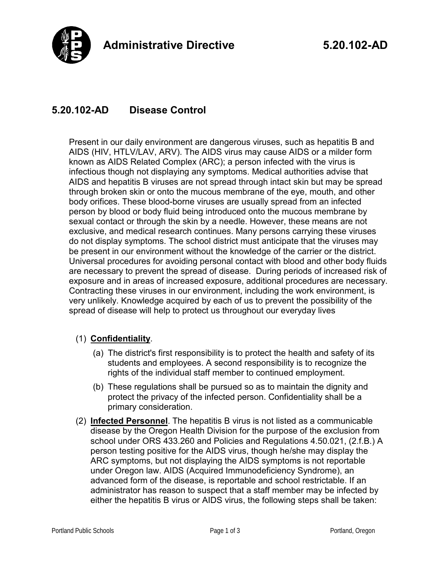

## **5.20.102-AD Disease Control**

Present in our daily environment are dangerous viruses, such as hepatitis B and AIDS (HIV, HTLV/LAV, ARV). The AIDS virus may cause AIDS or a milder form known as AIDS Related Complex (ARC); a person infected with the virus is infectious though not displaying any symptoms. Medical authorities advise that AIDS and hepatitis B viruses are not spread through intact skin but may be spread through broken skin or onto the mucous membrane of the eye, mouth, and other body orifices. These blood-borne viruses are usually spread from an infected person by blood or body fluid being introduced onto the mucous membrane by sexual contact or through the skin by a needle. However, these means are not exclusive, and medical research continues. Many persons carrying these viruses do not display symptoms. The school district must anticipate that the viruses may be present in our environment without the knowledge of the carrier or the district. Universal procedures for avoiding personal contact with blood and other body fluids are necessary to prevent the spread of disease. During periods of increased risk of exposure and in areas of increased exposure, additional procedures are necessary. Contracting these viruses in our environment, including the work environment, is very unlikely. Knowledge acquired by each of us to prevent the possibility of the spread of disease will help to protect us throughout our everyday lives

## (1) **Confidentiality**.

- (a) The district's first responsibility is to protect the health and safety of its students and employees. A second responsibility is to recognize the rights of the individual staff member to continued employment.
- (b) These regulations shall be pursued so as to maintain the dignity and protect the privacy of the infected person. Confidentiality shall be a primary consideration.
- (2) **Infected Personnel**. The hepatitis B virus is not listed as a communicable disease by the Oregon Health Division for the purpose of the exclusion from school under ORS 433.260 and Policies and Regulations 4.50.021, (2.f.B.) A person testing positive for the AIDS virus, though he/she may display the ARC symptoms, but not displaying the AIDS symptoms is not reportable under Oregon law. AIDS (Acquired Immunodeficiency Syndrome), an advanced form of the disease, is reportable and school restrictable. If an administrator has reason to suspect that a staff member may be infected by either the hepatitis B virus or AIDS virus, the following steps shall be taken: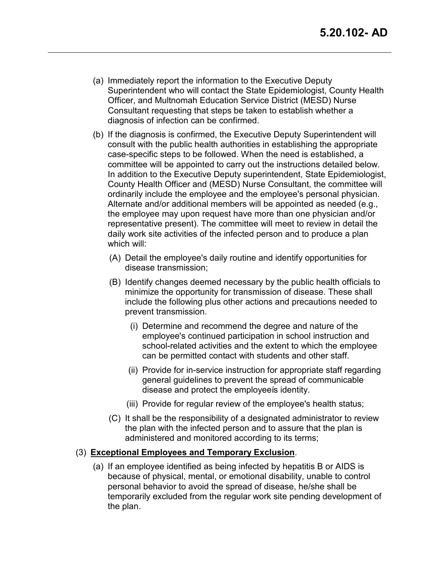- (a) Immediately report the information to the Executive Deputy Superintendent who will contact the State Epidemiologist, County Health Officer, and Multnomah Education Service District (MESD) Nurse Consultant requesting that steps be taken to establish whether a diagnosis of infection can be confirmed.
- (b) If the diagnosis is confirmed, the Executive Deputy Superintendent will consult with the public health authorities in establishing the appropriate case-specific steps to be followed. When the need is established, a committee will be appointed to carry out the instructions detailed below. In addition to the Executive Deputy superintendent, State Epidemiologist, County Health Officer and (MESD) Nurse Consultant, the committee will ordinarily include the employee and the employee's personal physician. Alternate and/or additional members will be appointed as needed (e.g., the employee may upon request have more than one physician and/or representative present). The committee will meet to review in detail the daily work site activities of the infected person and to produce a plan which will:
	- (A) Detail the employee's daily routine and identify opportunities for disease transmission;
	- (B) Identify changes deemed necessary by the public health officials to minimize the opportunity for transmission of disease. These shall include the following plus other actions and precautions needed to prevent transmission.
		- (i) Determine and recommend the degree and nature of the employee's continued participation in school instruction and school-related activities and the extent to which the employee can be permitted contact with students and other staff.
		- (ii) Provide for in-service instruction for appropriate staff regarding general guidelines to prevent the spread of communicable disease and protect the employee is identity.
		- (iii) Provide for regular review of the employee's health status;
	- (C) It shall be the responsibility of a designated administrator to review the plan with the infected person and to assure that the plan is administered and monitored according to its terms;

## (3) **Exceptional Employees and Temporary Exclusion**.

(a) If an employee identified as being infected by hepatitis B or AIDS is because of physical, mental, or emotional disability, unable to control personal behavior to avoid the spread of disease, he/she shall be temporarily excluded from the regular work site pending development of the plan.